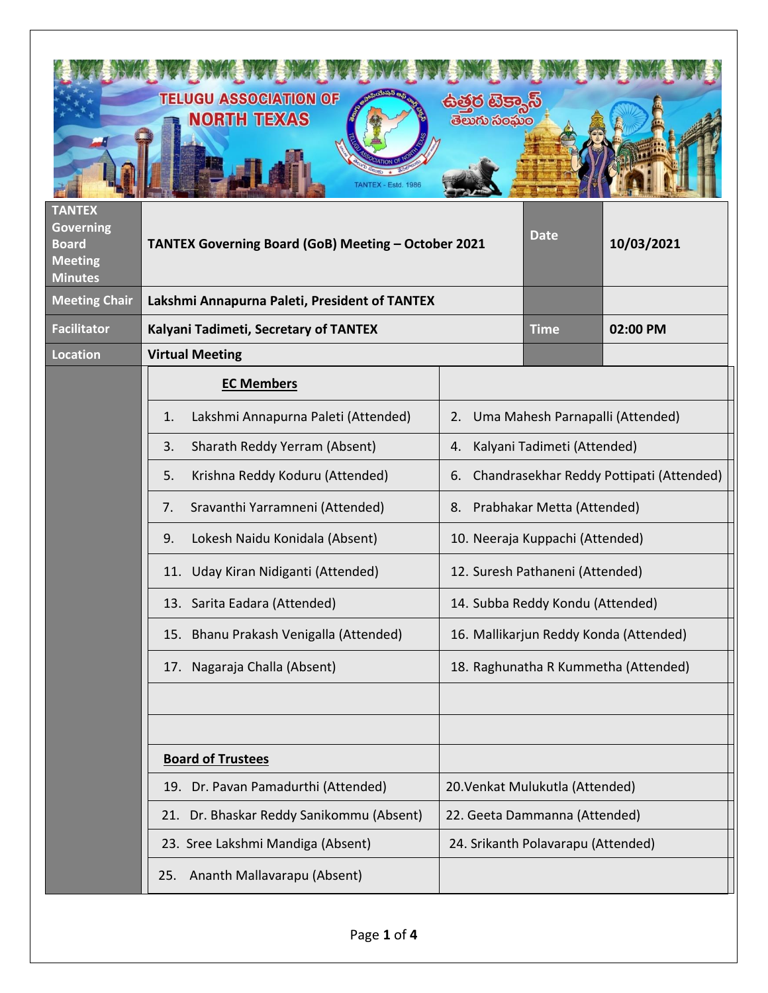| <b>TANTEX</b><br><b>Governing</b>                | <b>TELUGU ASSOCIATION OF</b><br><b>NORTH TEXAS</b><br>ANTEX - Estd. 1986 | ලබිරි ගිප<br>తెలుగు సంఘం                                              | <b>Date</b>                        |            |
|--------------------------------------------------|--------------------------------------------------------------------------|-----------------------------------------------------------------------|------------------------------------|------------|
| <b>Board</b><br><b>Meeting</b><br><b>Minutes</b> | TANTEX Governing Board (GoB) Meeting - October 2021                      |                                                                       |                                    | 10/03/2021 |
| <b>Meeting Chair</b>                             | Lakshmi Annapurna Paleti, President of TANTEX                            |                                                                       |                                    |            |
| <b>Facilitator</b><br><b>Location</b>            | Kalyani Tadimeti, Secretary of TANTEX<br><b>Virtual Meeting</b>          |                                                                       | <b>Time</b>                        | 02:00 PM   |
|                                                  | <b>EC Members</b>                                                        |                                                                       |                                    |            |
|                                                  | Lakshmi Annapurna Paleti (Attended)<br>1.                                | 2.                                                                    |                                    |            |
|                                                  | Sharath Reddy Yerram (Absent)<br>3.                                      | Uma Mahesh Parnapalli (Attended)<br>Kalyani Tadimeti (Attended)<br>4. |                                    |            |
|                                                  | Krishna Reddy Koduru (Attended)<br>5.                                    | Chandrasekhar Reddy Pottipati (Attended)<br>6.                        |                                    |            |
|                                                  | Sravanthi Yarramneni (Attended)<br>7.                                    | Prabhakar Metta (Attended)<br>8.                                      |                                    |            |
|                                                  | Lokesh Naidu Konidala (Absent)<br>9.                                     | 10. Neeraja Kuppachi (Attended)                                       |                                    |            |
|                                                  | Uday Kiran Nidiganti (Attended)<br>11.                                   | 12. Suresh Pathaneni (Attended)                                       |                                    |            |
|                                                  | 13. Sarita Eadara (Attended)                                             | 14. Subba Reddy Kondu (Attended)                                      |                                    |            |
|                                                  | 15. Bhanu Prakash Venigalla (Attended)                                   | 16. Mallikarjun Reddy Konda (Attended)                                |                                    |            |
|                                                  | 17. Nagaraja Challa (Absent)                                             | 18. Raghunatha R Kummetha (Attended)                                  |                                    |            |
|                                                  |                                                                          |                                                                       |                                    |            |
|                                                  |                                                                          |                                                                       |                                    |            |
|                                                  | <b>Board of Trustees</b>                                                 |                                                                       |                                    |            |
|                                                  | 19. Dr. Pavan Pamadurthi (Attended)                                      |                                                                       | 20. Venkat Mulukutla (Attended)    |            |
|                                                  | 21. Dr. Bhaskar Reddy Sanikommu (Absent)                                 | 22. Geeta Dammanna (Attended)                                         |                                    |            |
|                                                  | 23. Sree Lakshmi Mandiga (Absent)                                        |                                                                       | 24. Srikanth Polavarapu (Attended) |            |
|                                                  | 25. Ananth Mallavarapu (Absent)                                          |                                                                       |                                    |            |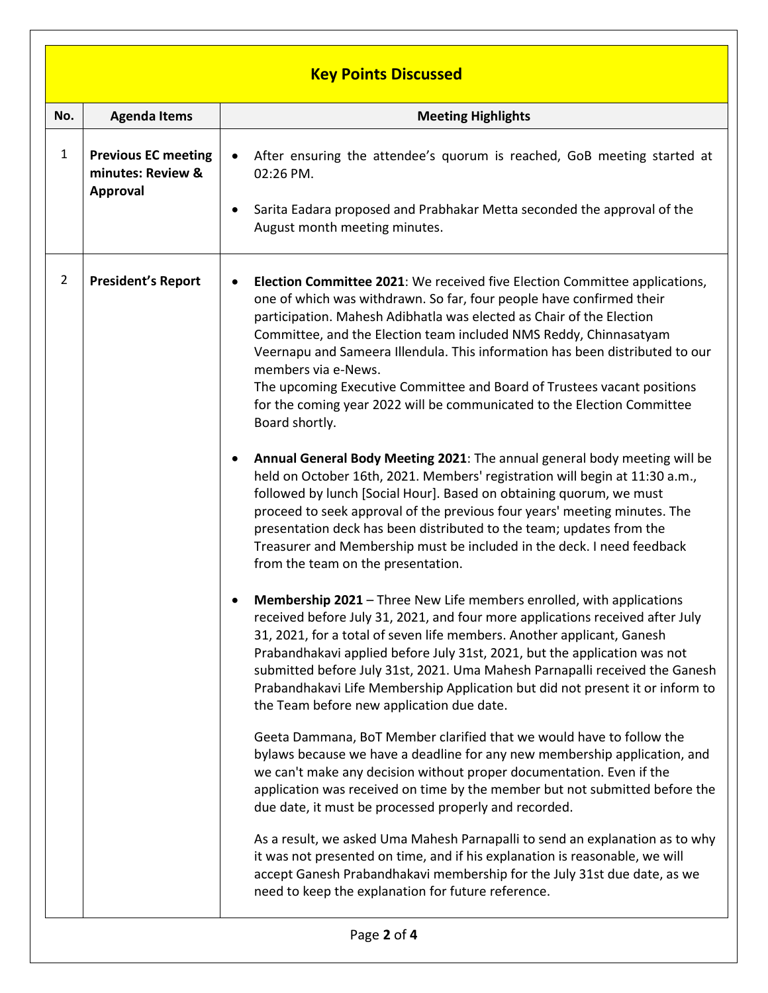|                | <b>Key Points Discussed</b>                                        |                                                                                                                                                                                                                                                                                                                                                                                                                                                                                                                                                                                                                                                                                                                                                                                                                                                                                                                                                                                                                                                                                                                                                                                                                                                                                                                                                                                                                                                                                                                                                                                                                                                                                                                                                                                                                                                                                                                                                                                                                                                                                                                                                                                                                                                  |  |  |  |  |  |
|----------------|--------------------------------------------------------------------|--------------------------------------------------------------------------------------------------------------------------------------------------------------------------------------------------------------------------------------------------------------------------------------------------------------------------------------------------------------------------------------------------------------------------------------------------------------------------------------------------------------------------------------------------------------------------------------------------------------------------------------------------------------------------------------------------------------------------------------------------------------------------------------------------------------------------------------------------------------------------------------------------------------------------------------------------------------------------------------------------------------------------------------------------------------------------------------------------------------------------------------------------------------------------------------------------------------------------------------------------------------------------------------------------------------------------------------------------------------------------------------------------------------------------------------------------------------------------------------------------------------------------------------------------------------------------------------------------------------------------------------------------------------------------------------------------------------------------------------------------------------------------------------------------------------------------------------------------------------------------------------------------------------------------------------------------------------------------------------------------------------------------------------------------------------------------------------------------------------------------------------------------------------------------------------------------------------------------------------------------|--|--|--|--|--|
| No.            | <b>Agenda Items</b>                                                | <b>Meeting Highlights</b>                                                                                                                                                                                                                                                                                                                                                                                                                                                                                                                                                                                                                                                                                                                                                                                                                                                                                                                                                                                                                                                                                                                                                                                                                                                                                                                                                                                                                                                                                                                                                                                                                                                                                                                                                                                                                                                                                                                                                                                                                                                                                                                                                                                                                        |  |  |  |  |  |
| $\mathbf{1}$   | <b>Previous EC meeting</b><br>minutes: Review &<br><b>Approval</b> | After ensuring the attendee's quorum is reached, GoB meeting started at<br>02:26 PM.<br>Sarita Eadara proposed and Prabhakar Metta seconded the approval of the<br>August month meeting minutes.                                                                                                                                                                                                                                                                                                                                                                                                                                                                                                                                                                                                                                                                                                                                                                                                                                                                                                                                                                                                                                                                                                                                                                                                                                                                                                                                                                                                                                                                                                                                                                                                                                                                                                                                                                                                                                                                                                                                                                                                                                                 |  |  |  |  |  |
| $\overline{2}$ | <b>President's Report</b>                                          | Election Committee 2021: We received five Election Committee applications,<br>$\bullet$<br>one of which was withdrawn. So far, four people have confirmed their<br>participation. Mahesh Adibhatla was elected as Chair of the Election<br>Committee, and the Election team included NMS Reddy, Chinnasatyam<br>Veernapu and Sameera Illendula. This information has been distributed to our<br>members via e-News.<br>The upcoming Executive Committee and Board of Trustees vacant positions<br>for the coming year 2022 will be communicated to the Election Committee<br>Board shortly.<br>Annual General Body Meeting 2021: The annual general body meeting will be<br>held on October 16th, 2021. Members' registration will begin at 11:30 a.m.,<br>followed by lunch [Social Hour]. Based on obtaining quorum, we must<br>proceed to seek approval of the previous four years' meeting minutes. The<br>presentation deck has been distributed to the team; updates from the<br>Treasurer and Membership must be included in the deck. I need feedback<br>from the team on the presentation.<br>Membership 2021 - Three New Life members enrolled, with applications<br>received before July 31, 2021, and four more applications received after July<br>31, 2021, for a total of seven life members. Another applicant, Ganesh<br>Prabandhakavi applied before July 31st, 2021, but the application was not<br>submitted before July 31st, 2021. Uma Mahesh Parnapalli received the Ganesh<br>Prabandhakavi Life Membership Application but did not present it or inform to<br>the Team before new application due date.<br>Geeta Dammana, BoT Member clarified that we would have to follow the<br>bylaws because we have a deadline for any new membership application, and<br>we can't make any decision without proper documentation. Even if the<br>application was received on time by the member but not submitted before the<br>due date, it must be processed properly and recorded.<br>As a result, we asked Uma Mahesh Parnapalli to send an explanation as to why<br>it was not presented on time, and if his explanation is reasonable, we will<br>accept Ganesh Prabandhakavi membership for the July 31st due date, as we |  |  |  |  |  |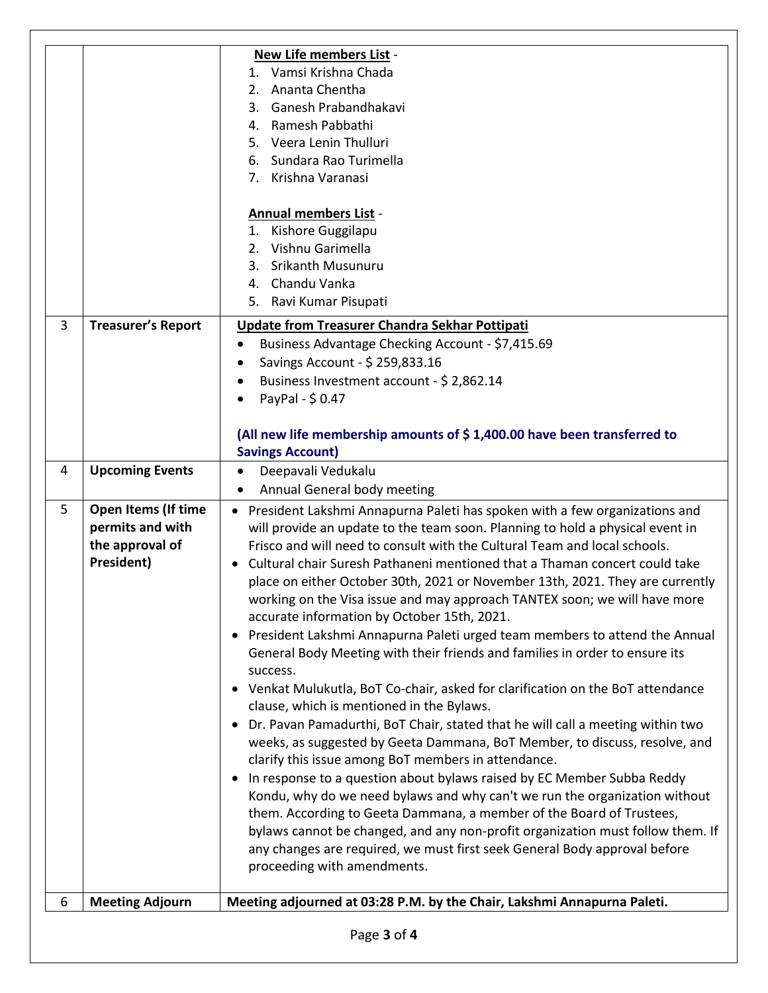|   |                            | New Life members List -<br>1. Vamsi Krishna Chada                                                                                 |  |  |  |  |  |
|---|----------------------------|-----------------------------------------------------------------------------------------------------------------------------------|--|--|--|--|--|
|   |                            | 2. Ananta Chentha                                                                                                                 |  |  |  |  |  |
|   |                            | 3. Ganesh Prabandhakavi                                                                                                           |  |  |  |  |  |
|   |                            | 4. Ramesh Pabbathi                                                                                                                |  |  |  |  |  |
|   |                            | 5. Veera Lenin Thulluri                                                                                                           |  |  |  |  |  |
|   |                            | 6. Sundara Rao Turimella                                                                                                          |  |  |  |  |  |
|   |                            | 7. Krishna Varanasi                                                                                                               |  |  |  |  |  |
|   |                            |                                                                                                                                   |  |  |  |  |  |
|   |                            | <b>Annual members List -</b>                                                                                                      |  |  |  |  |  |
|   |                            | 1. Kishore Guggilapu                                                                                                              |  |  |  |  |  |
|   |                            | 2. Vishnu Garimella                                                                                                               |  |  |  |  |  |
|   |                            | <b>Srikanth Musunuru</b><br>3.                                                                                                    |  |  |  |  |  |
|   |                            | 4. Chandu Vanka                                                                                                                   |  |  |  |  |  |
|   |                            | 5. Ravi Kumar Pisupati                                                                                                            |  |  |  |  |  |
| 3 | <b>Treasurer's Report</b>  | Update from Treasurer Chandra Sekhar Pottipati                                                                                    |  |  |  |  |  |
|   |                            | Business Advantage Checking Account - \$7,415.69<br>$\bullet$                                                                     |  |  |  |  |  |
|   |                            | Savings Account - \$ 259,833.16<br>$\bullet$                                                                                      |  |  |  |  |  |
|   |                            | Business Investment account - \$ 2,862.14<br>$\bullet$                                                                            |  |  |  |  |  |
|   |                            | PayPal - \$0.47                                                                                                                   |  |  |  |  |  |
|   |                            |                                                                                                                                   |  |  |  |  |  |
|   |                            | (All new life membership amounts of \$1,400.00 have been transferred to                                                           |  |  |  |  |  |
|   |                            | <b>Savings Account)</b>                                                                                                           |  |  |  |  |  |
| 4 | <b>Upcoming Events</b>     | Deepavali Vedukalu<br>$\bullet$                                                                                                   |  |  |  |  |  |
|   |                            | Annual General body meeting<br>$\bullet$                                                                                          |  |  |  |  |  |
| 5 | <b>Open Items (If time</b> | • President Lakshmi Annapurna Paleti has spoken with a few organizations and                                                      |  |  |  |  |  |
|   | permits and with           | will provide an update to the team soon. Planning to hold a physical event in                                                     |  |  |  |  |  |
|   | the approval of            | Frisco and will need to consult with the Cultural Team and local schools.                                                         |  |  |  |  |  |
|   | President)                 | Cultural chair Suresh Pathaneni mentioned that a Thaman concert could take                                                        |  |  |  |  |  |
|   |                            | place on either October 30th, 2021 or November 13th, 2021. They are currently                                                     |  |  |  |  |  |
|   |                            | working on the Visa issue and may approach TANTEX soon; we will have more                                                         |  |  |  |  |  |
|   |                            | accurate information by October 15th, 2021.                                                                                       |  |  |  |  |  |
|   |                            | President Lakshmi Annapurna Paleti urged team members to attend the Annual<br>$\bullet$                                           |  |  |  |  |  |
|   |                            | General Body Meeting with their friends and families in order to ensure its                                                       |  |  |  |  |  |
|   |                            | success.                                                                                                                          |  |  |  |  |  |
|   |                            | • Venkat Mulukutla, BoT Co-chair, asked for clarification on the BoT attendance                                                   |  |  |  |  |  |
|   |                            | clause, which is mentioned in the Bylaws.                                                                                         |  |  |  |  |  |
|   |                            | • Dr. Pavan Pamadurthi, BoT Chair, stated that he will call a meeting within two                                                  |  |  |  |  |  |
|   |                            | weeks, as suggested by Geeta Dammana, BoT Member, to discuss, resolve, and<br>clarify this issue among BoT members in attendance. |  |  |  |  |  |
|   |                            | In response to a question about bylaws raised by EC Member Subba Reddy<br>$\bullet$                                               |  |  |  |  |  |
|   |                            | Kondu, why do we need bylaws and why can't we run the organization without                                                        |  |  |  |  |  |
|   |                            | them. According to Geeta Dammana, a member of the Board of Trustees,                                                              |  |  |  |  |  |
|   |                            | bylaws cannot be changed, and any non-profit organization must follow them. If                                                    |  |  |  |  |  |
|   |                            | any changes are required, we must first seek General Body approval before                                                         |  |  |  |  |  |
|   |                            | proceeding with amendments.                                                                                                       |  |  |  |  |  |
|   |                            |                                                                                                                                   |  |  |  |  |  |
| 6 | <b>Meeting Adjourn</b>     | Meeting adjourned at 03:28 P.M. by the Chair, Lakshmi Annapurna Paleti.                                                           |  |  |  |  |  |
|   | Page 3 of 4                |                                                                                                                                   |  |  |  |  |  |